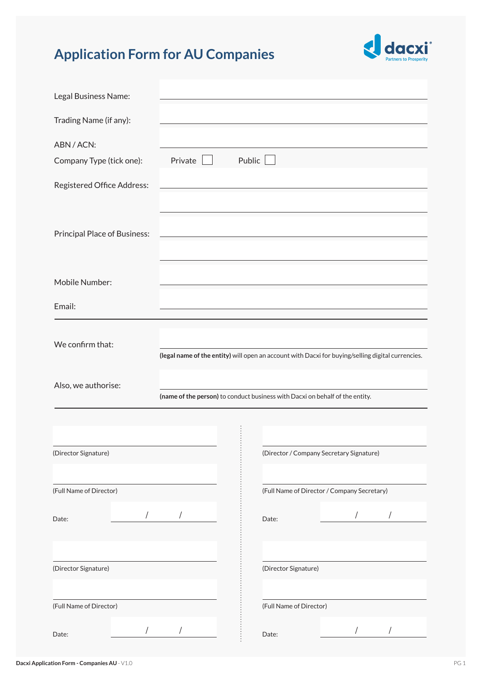## **Application Form for AU Companies**



| Legal Business Name:                            |         |                                                                                                   |  |
|-------------------------------------------------|---------|---------------------------------------------------------------------------------------------------|--|
| Trading Name (if any):                          |         |                                                                                                   |  |
| ABN / ACN:<br>Company Type (tick one):          | Private | Public                                                                                            |  |
| Registered Office Address:                      |         |                                                                                                   |  |
| <b>Principal Place of Business:</b>             |         |                                                                                                   |  |
| Mobile Number:                                  |         |                                                                                                   |  |
| Email:                                          |         |                                                                                                   |  |
| We confirm that:                                |         | (legal name of the entity) will open an account with Dacxi for buying/selling digital currencies. |  |
|                                                 |         |                                                                                                   |  |
| Also, we authorise:                             |         | (name of the person) to conduct business with Dacxi on behalf of the entity.                      |  |
|                                                 |         |                                                                                                   |  |
|                                                 |         | (Director / Company Secretary Signature)                                                          |  |
| (Director Signature)<br>(Full Name of Director) |         | (Full Name of Director / Company Secretary)                                                       |  |
| $\overline{1}$<br>Date:                         |         | Date:                                                                                             |  |
| (Director Signature)                            |         | (Director Signature)                                                                              |  |
| (Full Name of Director)                         |         | (Full Name of Director)                                                                           |  |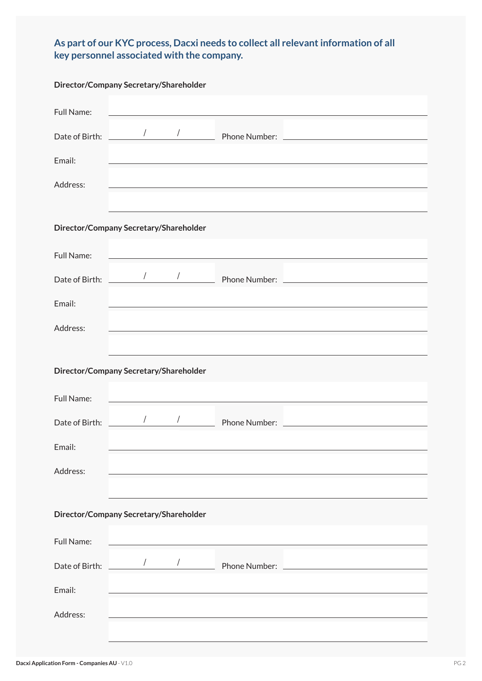## **As part of our KYC process, Dacxi needs to collect all relevant information of all key personnel associated with the company.**

| Director/Company Secretary/Shareholder |                      |  |                                                            |                                                    |  |  |  |
|----------------------------------------|----------------------|--|------------------------------------------------------------|----------------------------------------------------|--|--|--|
| Full Name:                             |                      |  | <u> 1989 - Johann Stein, mars an de Frankrik (f. 1989)</u> |                                                    |  |  |  |
| Date of Birth:                         | $\sqrt{\phantom{a}}$ |  | Phone Number:                                              |                                                    |  |  |  |
| Email:                                 |                      |  |                                                            |                                                    |  |  |  |
| Address:                               |                      |  |                                                            |                                                    |  |  |  |
|                                        |                      |  |                                                            |                                                    |  |  |  |
| Director/Company Secretary/Shareholder |                      |  |                                                            |                                                    |  |  |  |
| Full Name:                             |                      |  |                                                            |                                                    |  |  |  |
| Date of Birth:                         | $\sqrt{ }$           |  |                                                            | Phone Number: <u>_____________________________</u> |  |  |  |
| Email:                                 |                      |  |                                                            |                                                    |  |  |  |
| Address:                               |                      |  |                                                            |                                                    |  |  |  |
|                                        |                      |  |                                                            |                                                    |  |  |  |
| Director/Company Secretary/Shareholder |                      |  |                                                            |                                                    |  |  |  |
| Full Name:                             |                      |  |                                                            |                                                    |  |  |  |
| Date of Birth:                         |                      |  | Phone Number:                                              |                                                    |  |  |  |
| Email:                                 |                      |  |                                                            |                                                    |  |  |  |
|                                        |                      |  |                                                            |                                                    |  |  |  |
| Address:                               |                      |  |                                                            |                                                    |  |  |  |
|                                        |                      |  |                                                            |                                                    |  |  |  |
| Director/Company Secretary/Shareholder |                      |  |                                                            |                                                    |  |  |  |
| Full Name:                             |                      |  |                                                            |                                                    |  |  |  |
| Date of Birth:                         | $\sqrt{2}$           |  | Phone Number:                                              |                                                    |  |  |  |
| Email:                                 |                      |  |                                                            |                                                    |  |  |  |
| Address:                               |                      |  |                                                            |                                                    |  |  |  |